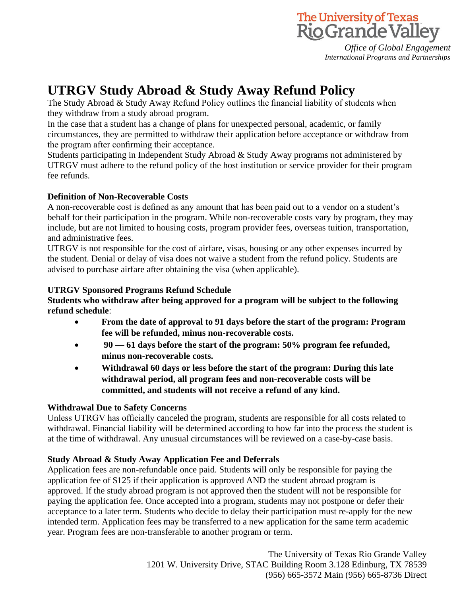

*Office of Global Engagement International Programs and Partnerships*

# **UTRGV Study Abroad & Study Away Refund Policy**

The Study Abroad & Study Away Refund Policy outlines the financial liability of students when they withdraw from a study abroad program.

In the case that a student has a change of plans for unexpected personal, academic, or family circumstances, they are permitted to withdraw their application before acceptance or withdraw from the program after confirming their acceptance.

Students participating in Independent Study Abroad & Study Away programs not administered by UTRGV must adhere to the refund policy of the host institution or service provider for their program fee refunds.

## **Definition of Non-Recoverable Costs**

A non-recoverable cost is defined as any amount that has been paid out to a vendor on a student's behalf for their participation in the program. While non-recoverable costs vary by program, they may include, but are not limited to housing costs, program provider fees, overseas tuition, transportation, and administrative fees.

UTRGV is not responsible for the cost of airfare, visas, housing or any other expenses incurred by the student. Denial or delay of visa does not waive a student from the refund policy. Students are advised to purchase airfare after obtaining the visa (when applicable).

## **UTRGV Sponsored Programs Refund Schedule**

**Students who withdraw after being approved for a program will be subject to the following refund schedule**:

- **From the date of approval to 91 days before the start of the program: Program fee will be refunded, minus non-recoverable costs.**
- **90 — 61 days before the start of the program: 50% program fee refunded, minus non-recoverable costs.**
- **Withdrawal 60 days or less before the start of the program: During this late withdrawal period, all program fees and non-recoverable costs will be committed, and students will not receive a refund of any kind.**

## **Withdrawal Due to Safety Concerns**

Unless UTRGV has officially canceled the program, students are responsible for all costs related to withdrawal. Financial liability will be determined according to how far into the process the student is at the time of withdrawal. Any unusual circumstances will be reviewed on a case-by-case basis.

## **Study Abroad & Study Away Application Fee and Deferrals**

Application fees are non-refundable once paid. Students will only be responsible for paying the application fee of \$125 if their application is approved AND the student abroad program is approved. If the study abroad program is not approved then the student will not be responsible for paying the application fee. Once accepted into a program, students may not postpone or defer their acceptance to a later term. Students who decide to delay their participation must re-apply for the new intended term. Application fees may be transferred to a new application for the same term academic year. Program fees are non-transferable to another program or term.

> The University of Texas Rio Grande Valley 1201 W. University Drive, STAC Building Room 3.128 Edinburg, TX 78539 (956) 665-3572 Main (956) 665-8736 Direct